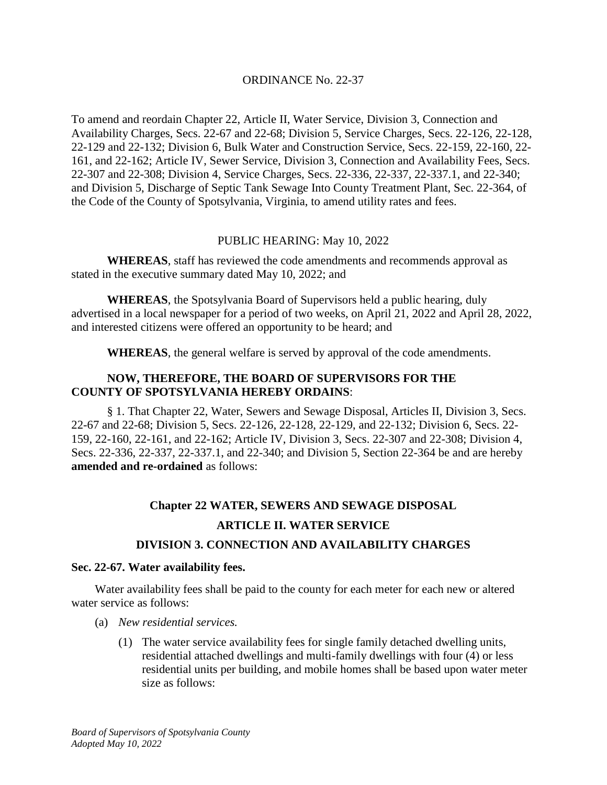## ORDINANCE No. 22-37

To amend and reordain Chapter 22, Article II, Water Service, Division 3, Connection and Availability Charges, Secs. 22-67 and 22-68; Division 5, Service Charges, Secs. 22-126, 22-128, 22-129 and 22-132; Division 6, Bulk Water and Construction Service, Secs. 22-159, 22-160, 22- 161, and 22-162; Article IV, Sewer Service, Division 3, Connection and Availability Fees, Secs. 22-307 and 22-308; Division 4, Service Charges, Secs. 22-336, 22-337, 22-337.1, and 22-340; and Division 5, Discharge of Septic Tank Sewage Into County Treatment Plant, Sec. 22-364, of the Code of the County of Spotsylvania, Virginia, to amend utility rates and fees.

## PUBLIC HEARING: May 10, 2022

**WHEREAS**, staff has reviewed the code amendments and recommends approval as stated in the executive summary dated May 10, 2022; and

**WHEREAS**, the Spotsylvania Board of Supervisors held a public hearing, duly advertised in a local newspaper for a period of two weeks, on April 21, 2022 and April 28, 2022, and interested citizens were offered an opportunity to be heard; and

**WHEREAS**, the general welfare is served by approval of the code amendments.

## **NOW, THEREFORE, THE BOARD OF SUPERVISORS FOR THE COUNTY OF SPOTSYLVANIA HEREBY ORDAINS**:

§ 1. That Chapter 22, Water, Sewers and Sewage Disposal, Articles II, Division 3, Secs. 22-67 and 22-68; Division 5, Secs. 22-126, 22-128, 22-129, and 22-132; Division 6, Secs. 22- 159, 22-160, 22-161, and 22-162; Article IV, Division 3, Secs. 22-307 and 22-308; Division 4, Secs. 22-336, 22-337, 22-337.1, and 22-340; and Division 5, Section 22-364 be and are hereby **amended and re-ordained** as follows:

# **Chapter 22 WATER, SEWERS AND SEWAGE DISPOSAL ARTICLE II. WATER SERVICE**

# **DIVISION 3. CONNECTION AND AVAILABILITY CHARGES**

## **Sec. 22-67. Water availability fees.**

Water availability fees shall be paid to the county for each meter for each new or altered water service as follows:

- (a) *New residential services.*
	- (1) The water service availability fees for single family detached dwelling units, residential attached dwellings and multi-family dwellings with four (4) or less residential units per building, and mobile homes shall be based upon water meter size as follows: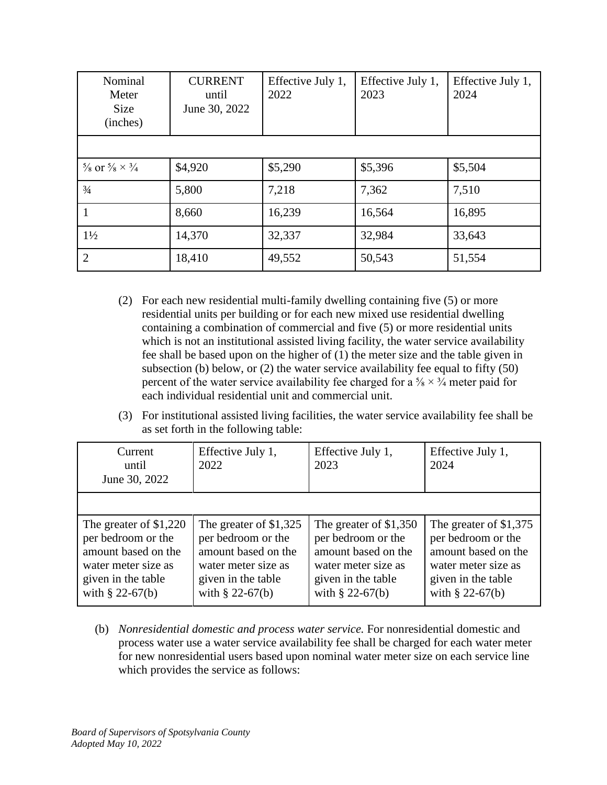| Nominal<br>Meter<br><b>Size</b><br>(inches)       | <b>CURRENT</b><br>until<br>June 30, 2022 | Effective July 1,<br>2022 | Effective July 1,<br>2023 | Effective July 1,<br>2024 |
|---------------------------------------------------|------------------------------------------|---------------------------|---------------------------|---------------------------|
|                                                   |                                          |                           |                           |                           |
| $\frac{5}{8}$ or $\frac{5}{8} \times \frac{3}{4}$ | \$4,920                                  | \$5,290                   | \$5,396                   | \$5,504                   |
| $\frac{3}{4}$                                     | 5,800                                    | 7,218                     | 7,362                     | 7,510                     |
|                                                   | 8,660                                    | 16,239                    | 16,564                    | 16,895                    |
| $1\frac{1}{2}$                                    | 14,370                                   | 32,337                    | 32,984                    | 33,643                    |
| 2                                                 | 18,410                                   | 49,552                    | 50,543                    | 51,554                    |

- (2) For each new residential multi-family dwelling containing five (5) or more residential units per building or for each new mixed use residential dwelling containing a combination of commercial and five (5) or more residential units which is not an institutional assisted living facility, the water service availability fee shall be based upon on the higher of (1) the meter size and the table given in subsection (b) below, or (2) the water service availability fee equal to fifty (50) percent of the water service availability fee charged for a  $\frac{5}{8} \times \frac{3}{4}$  meter paid for each individual residential unit and commercial unit.
- (3) For institutional assisted living facilities, the water service availability fee shall be as set forth in the following table:

| Current<br>until<br>June 30, 2022                                                                                                       | Effective July 1,<br>2022                                                                                                             | Effective July 1,<br>2023                                                                                                               | Effective July 1,<br>2024                                                                                                              |
|-----------------------------------------------------------------------------------------------------------------------------------------|---------------------------------------------------------------------------------------------------------------------------------------|-----------------------------------------------------------------------------------------------------------------------------------------|----------------------------------------------------------------------------------------------------------------------------------------|
|                                                                                                                                         |                                                                                                                                       |                                                                                                                                         |                                                                                                                                        |
| The greater of $$1,220$<br>per bedroom or the<br>amount based on the<br>water meter size as<br>given in the table<br>with $\S$ 22-67(b) | The greater of \$1,325<br>per bedroom or the<br>amount based on the<br>water meter size as<br>given in the table<br>with $§ 22-67(b)$ | The greater of $$1,350$<br>per bedroom or the<br>amount based on the<br>water meter size as<br>given in the table<br>with $\S$ 22-67(b) | The greater of \$1,375<br>per bedroom or the<br>amount based on the<br>water meter size as<br>given in the table<br>with $\S$ 22-67(b) |

(b) *Nonresidential domestic and process water service.* For nonresidential domestic and process water use a water service availability fee shall be charged for each water meter for new nonresidential users based upon nominal water meter size on each service line which provides the service as follows: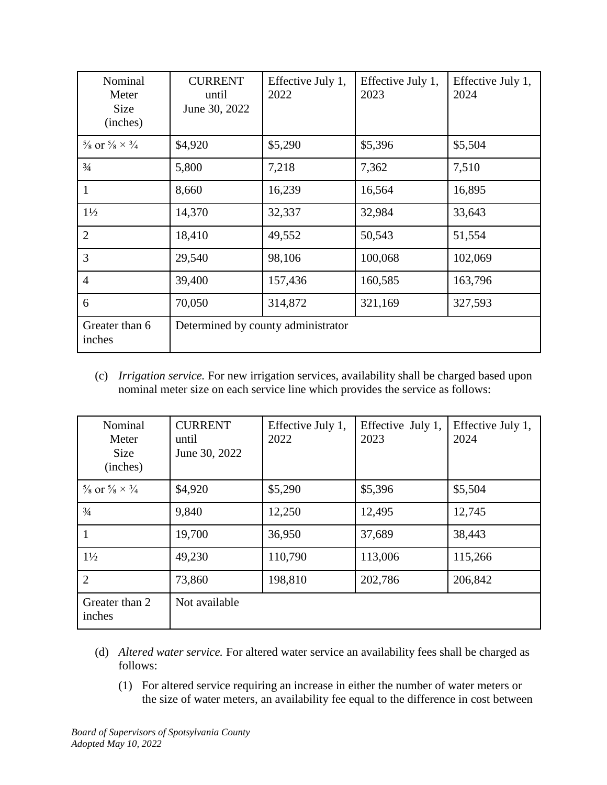| Nominal<br>Meter<br><b>Size</b><br>(inches)       | <b>CURRENT</b><br>until<br>June 30, 2022 | Effective July 1,<br>2022 | Effective July 1,<br>2023 | Effective July 1,<br>2024 |
|---------------------------------------------------|------------------------------------------|---------------------------|---------------------------|---------------------------|
| $\frac{5}{8}$ or $\frac{5}{8} \times \frac{3}{4}$ | \$4,920                                  | \$5,290                   | \$5,396                   | \$5,504                   |
| $\frac{3}{4}$                                     | 5,800                                    | 7,218                     | 7,362                     | 7,510                     |
| 1                                                 | 8,660                                    | 16,239                    | 16,564                    | 16,895                    |
| $1\frac{1}{2}$                                    | 14,370                                   | 32,337                    | 32,984                    | 33,643                    |
| $\overline{2}$                                    | 18,410                                   | 49,552                    | 50,543                    | 51,554                    |
| 3                                                 | 29,540                                   | 98,106                    | 100,068                   | 102,069                   |
| $\overline{4}$                                    | 39,400                                   | 157,436                   | 160,585                   | 163,796                   |
| 6                                                 | 70,050                                   | 314,872                   | 321,169                   | 327,593                   |
| Greater than 6<br>inches                          | Determined by county administrator       |                           |                           |                           |

(c) *Irrigation service.* For new irrigation services, availability shall be charged based upon nominal meter size on each service line which provides the service as follows:

| Nominal<br>Meter<br>Size<br>(inches)              | <b>CURRENT</b><br>until<br>June 30, 2022 | Effective July 1,<br>2022 | Effective July 1,<br>2023 | Effective July 1,<br>2024 |
|---------------------------------------------------|------------------------------------------|---------------------------|---------------------------|---------------------------|
| $\frac{5}{8}$ or $\frac{5}{8} \times \frac{3}{4}$ | \$4,920                                  | \$5,290                   | \$5,396                   | \$5,504                   |
| $\frac{3}{4}$                                     | 9,840                                    | 12,250                    | 12,495                    | 12,745                    |
|                                                   | 19,700                                   | 36,950                    | 37,689                    | 38,443                    |
| $1\frac{1}{2}$                                    | 49,230                                   | 110,790                   | 113,006                   | 115,266                   |
| $\overline{2}$                                    | 73,860                                   | 198,810                   | 202,786                   | 206,842                   |
| Greater than 2<br>inches                          | Not available                            |                           |                           |                           |

- (d) *Altered water service.* For altered water service an availability fees shall be charged as follows:
	- (1) For altered service requiring an increase in either the number of water meters or the size of water meters, an availability fee equal to the difference in cost between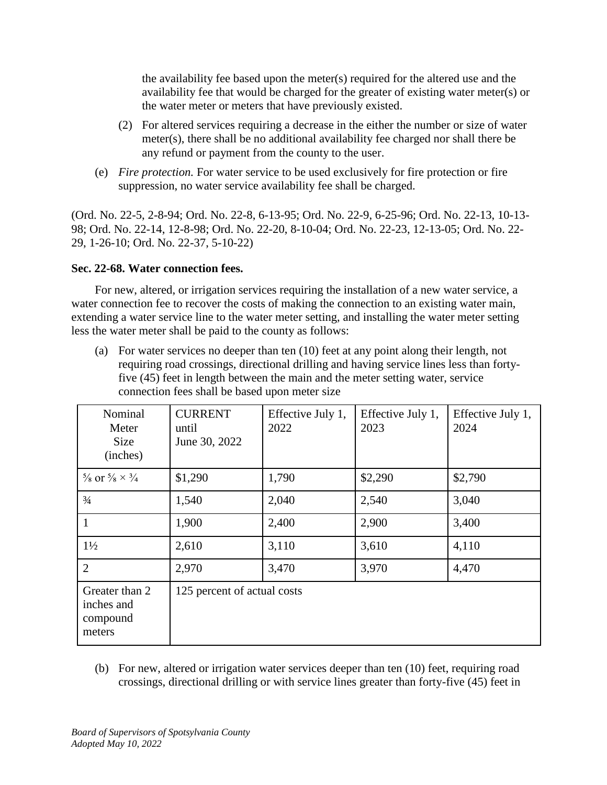the availability fee based upon the meter(s) required for the altered use and the availability fee that would be charged for the greater of existing water meter(s) or the water meter or meters that have previously existed.

- (2) For altered services requiring a decrease in the either the number or size of water meter(s), there shall be no additional availability fee charged nor shall there be any refund or payment from the county to the user.
- (e) *Fire protection.* For water service to be used exclusively for fire protection or fire suppression, no water service availability fee shall be charged.

(Ord. No. 22-5, 2-8-94; Ord. No. 22-8, 6-13-95; Ord. No. 22-9, 6-25-96; Ord. No. 22-13, 10-13- 98; Ord. No. 22-14, 12-8-98; Ord. No. 22-20, 8-10-04; Ord. No. 22-23, 12-13-05; Ord. No. 22- 29, 1-26-10; Ord. No. 22-37, 5-10-22)

## **Sec. 22-68. Water connection fees.**

For new, altered, or irrigation services requiring the installation of a new water service, a water connection fee to recover the costs of making the connection to an existing water main, extending a water service line to the water meter setting, and installing the water meter setting less the water meter shall be paid to the county as follows:

(a) For water services no deeper than ten (10) feet at any point along their length, not requiring road crossings, directional drilling and having service lines less than fortyfive (45) feet in length between the main and the meter setting water, service connection fees shall be based upon meter size

| Nominal<br>Meter<br><b>Size</b><br>(inches)        | <b>CURRENT</b><br>until<br>June 30, 2022 | Effective July 1,<br>2022 | Effective July 1,<br>2023 | Effective July 1,<br>2024 |
|----------------------------------------------------|------------------------------------------|---------------------------|---------------------------|---------------------------|
| $\frac{5}{8}$ or $\frac{5}{8} \times \frac{3}{4}$  | \$1,290                                  | 1,790                     | \$2,290                   | \$2,790                   |
| $\frac{3}{4}$                                      | 1,540                                    | 2,040                     | 2,540                     | 3,040                     |
| 1                                                  | 1,900                                    | 2,400                     | 2,900                     | 3,400                     |
| $1\frac{1}{2}$                                     | 2,610                                    | 3,110                     | 3,610                     | 4,110                     |
| $\overline{2}$                                     | 2,970                                    | 3,470                     | 3,970                     | 4,470                     |
| Greater than 2<br>inches and<br>compound<br>meters | 125 percent of actual costs              |                           |                           |                           |

(b) For new, altered or irrigation water services deeper than ten (10) feet, requiring road crossings, directional drilling or with service lines greater than forty-five (45) feet in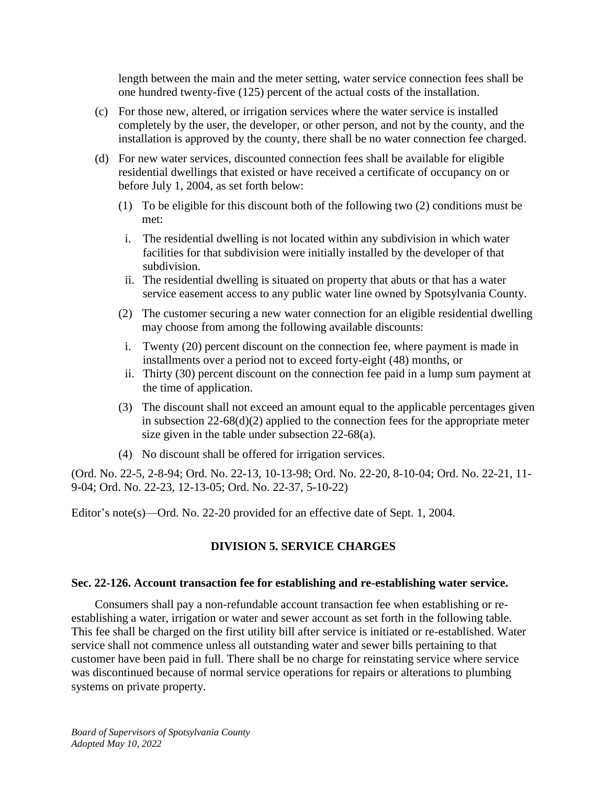length between the main and the meter setting, water service connection fees shall be one hundred twenty-five (125) percent of the actual costs of the installation.

- (c) For those new, altered, or irrigation services where the water service is installed completely by the user, the developer, or other person, and not by the county, and the installation is approved by the county, there shall be no water connection fee charged.
- (d) For new water services, discounted connection fees shall be available for eligible residential dwellings that existed or have received a certificate of occupancy on or before July 1, 2004, as set forth below:
	- (1) To be eligible for this discount both of the following two (2) conditions must be met:
	- i. The residential dwelling is not located within any subdivision in which water facilities for that subdivision were initially installed by the developer of that subdivision.
	- ii. The residential dwelling is situated on property that abuts or that has a water service easement access to any public water line owned by Spotsylvania County.
	- (2) The customer securing a new water connection for an eligible residential dwelling may choose from among the following available discounts:
	- i. Twenty (20) percent discount on the connection fee, where payment is made in installments over a period not to exceed forty-eight (48) months, or
	- ii. Thirty (30) percent discount on the connection fee paid in a lump sum payment at the time of application.
	- (3) The discount shall not exceed an amount equal to the applicable percentages given in subsection 22-68(d)(2) applied to the connection fees for the appropriate meter size given in the table under subsection 22-68(a).
	- (4) No discount shall be offered for irrigation services.

(Ord. No. 22-5, 2-8-94; Ord. No. 22-13, 10-13-98; Ord. No. 22-20, 8-10-04; Ord. No. 22-21, 11- 9-04; Ord. No. 22-23, 12-13-05; Ord. No. 22-37, 5-10-22)

Editor's note(s)—Ord. No. 22-20 provided for an effective date of Sept. 1, 2004.

## **DIVISION 5. SERVICE CHARGES**

#### **Sec. 22-126. Account transaction fee for establishing and re-establishing water service.**

Consumers shall pay a non-refundable account transaction fee when establishing or reestablishing a water, irrigation or water and sewer account as set forth in the following table. This fee shall be charged on the first utility bill after service is initiated or re-established. Water service shall not commence unless all outstanding water and sewer bills pertaining to that customer have been paid in full. There shall be no charge for reinstating service where service was discontinued because of normal service operations for repairs or alterations to plumbing systems on private property.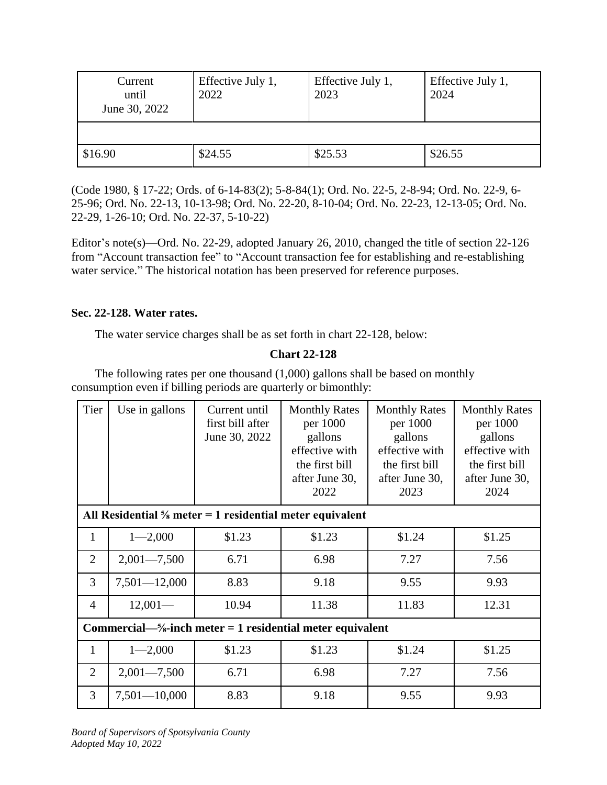| Current<br>until<br>June 30, 2022 | Effective July 1,<br>2022 | Effective July 1,<br>2023 | Effective July 1,<br>2024 |
|-----------------------------------|---------------------------|---------------------------|---------------------------|
|                                   |                           |                           |                           |
| \$16.90                           | \$24.55                   | \$25.53                   | \$26.55                   |

(Code 1980, § 17-22; Ords. of 6-14-83(2); 5-8-84(1); Ord. No. 22-5, 2-8-94; Ord. No. 22-9, 6- 25-96; Ord. No. 22-13, 10-13-98; Ord. No. 22-20, 8-10-04; Ord. No. 22-23, 12-13-05; Ord. No. 22-29, 1-26-10; Ord. No. 22-37, 5-10-22)

Editor's note(s)—Ord. No. 22-29, adopted January 26, 2010, changed the title of section 22-126 from "Account transaction fee" to "Account transaction fee for establishing and re-establishing water service." The historical notation has been preserved for reference purposes.

## **Sec. 22-128. Water rates.**

The water service charges shall be as set forth in chart 22-128, below:

# **Chart 22-128**

The following rates per one thousand (1,000) gallons shall be based on monthly consumption even if billing periods are quarterly or bimonthly:

| Tier           | Use in gallons                                                         | Current until<br>first bill after<br>June 30, 2022 | <b>Monthly Rates</b><br>per 1000<br>gallons<br>effective with<br>the first bill<br>after June 30,<br>2022 | <b>Monthly Rates</b><br>per 1000<br>gallons<br>effective with<br>the first bill<br>after June 30,<br>2023 | <b>Monthly Rates</b><br>per 1000<br>gallons<br>effective with<br>the first bill<br>after June 30,<br>2024 |
|----------------|------------------------------------------------------------------------|----------------------------------------------------|-----------------------------------------------------------------------------------------------------------|-----------------------------------------------------------------------------------------------------------|-----------------------------------------------------------------------------------------------------------|
|                | All Residential $\frac{5}{8}$ meter = 1 residential meter equivalent   |                                                    |                                                                                                           |                                                                                                           |                                                                                                           |
| $\mathbf{1}$   | $1 - 2,000$                                                            | \$1.23                                             | \$1.23                                                                                                    | \$1.24                                                                                                    | \$1.25                                                                                                    |
| $\overline{2}$ | $2,001 - 7,500$                                                        | 6.71                                               | 6.98                                                                                                      | 7.27                                                                                                      | 7.56                                                                                                      |
| 3              | $7,501 - 12,000$                                                       | 8.83                                               | 9.18                                                                                                      | 9.55                                                                                                      | 9.93                                                                                                      |
| $\overline{4}$ | $12,001-$                                                              | 10.94                                              | 11.38                                                                                                     | 11.83                                                                                                     | 12.31                                                                                                     |
|                | Commercial— $\frac{5}{8}$ -inch meter = 1 residential meter equivalent |                                                    |                                                                                                           |                                                                                                           |                                                                                                           |
| $\mathbf{1}$   | $1 - 2,000$                                                            | \$1.23                                             | \$1.23                                                                                                    | \$1.24                                                                                                    | \$1.25                                                                                                    |
| 2              | $2,001 - 7,500$                                                        | 6.71                                               | 6.98                                                                                                      | 7.27                                                                                                      | 7.56                                                                                                      |
| 3              | $7,501 - 10,000$                                                       | 8.83                                               | 9.18                                                                                                      | 9.55                                                                                                      | 9.93                                                                                                      |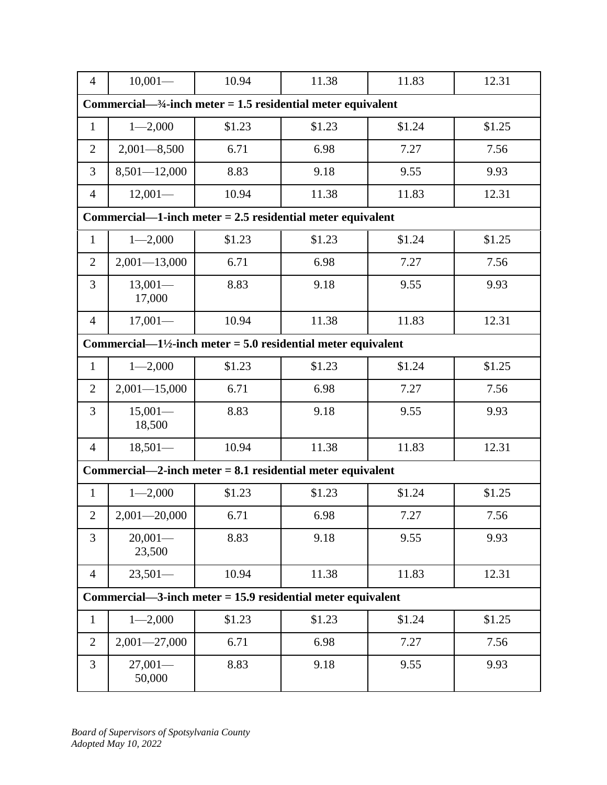| $\overline{4}$ | $10,001-$                                                                 | 10.94  | 11.38  | 11.83  | 12.31  |  |
|----------------|---------------------------------------------------------------------------|--------|--------|--------|--------|--|
|                | Commercial— $\frac{3}{4}$ -inch meter = 1.5 residential meter equivalent  |        |        |        |        |  |
| $\mathbf{1}$   | $1 - 2,000$                                                               | \$1.23 | \$1.23 | \$1.24 | \$1.25 |  |
| $\overline{2}$ | $2,001 - 8,500$                                                           | 6.71   | 6.98   | 7.27   | 7.56   |  |
| 3              | $8,501 - 12,000$                                                          | 8.83   | 9.18   | 9.55   | 9.93   |  |
| $\overline{4}$ | $12,001-$                                                                 | 10.94  | 11.38  | 11.83  | 12.31  |  |
|                | Commercial—1-inch meter $= 2.5$ residential meter equivalent              |        |        |        |        |  |
| $\mathbf{1}$   | $1 - 2,000$                                                               | \$1.23 | \$1.23 | \$1.24 | \$1.25 |  |
| $\overline{2}$ | $2,001 - 13,000$                                                          | 6.71   | 6.98   | 7.27   | 7.56   |  |
| 3              | $13,001-$<br>17,000                                                       | 8.83   | 9.18   | 9.55   | 9.93   |  |
| 4              | $17,001-$                                                                 | 10.94  | 11.38  | 11.83  | 12.31  |  |
|                | Commercial— $1\frac{1}{2}$ -inch meter = 5.0 residential meter equivalent |        |        |        |        |  |
| $\mathbf{1}$   | $1 - 2,000$                                                               | \$1.23 | \$1.23 | \$1.24 | \$1.25 |  |
| $\overline{2}$ | $2,001 - 15,000$                                                          | 6.71   | 6.98   | 7.27   | 7.56   |  |
| 3              | $15,001-$<br>18,500                                                       | 8.83   | 9.18   | 9.55   | 9.93   |  |
| $\overline{4}$ | $18,501-$                                                                 | 10.94  | 11.38  | 11.83  | 12.31  |  |
|                | Commercial—2-inch meter $= 8.1$ residential meter equivalent              |        |        |        |        |  |
| 1              | $1 - 2,000$                                                               | \$1.23 | \$1.23 | \$1.24 | \$1.25 |  |
| $\mathbf{2}$   | $2,001 - 20,000$                                                          | 6.71   | 6.98   | 7.27   | 7.56   |  |
| 3              | $20,001-$<br>23,500                                                       | 8.83   | 9.18   | 9.55   | 9.93   |  |
| $\overline{4}$ | $23,501-$                                                                 | 10.94  | 11.38  | 11.83  | 12.31  |  |
|                | Commercial—3-inch meter $= 15.9$ residential meter equivalent             |        |        |        |        |  |
| $\mathbf{1}$   | $1 - 2,000$                                                               | \$1.23 | \$1.23 | \$1.24 | \$1.25 |  |
| $\overline{2}$ | $2,001 - 27,000$                                                          | 6.71   | 6.98   | 7.27   | 7.56   |  |
| 3              | $27,001-$<br>50,000                                                       | 8.83   | 9.18   | 9.55   | 9.93   |  |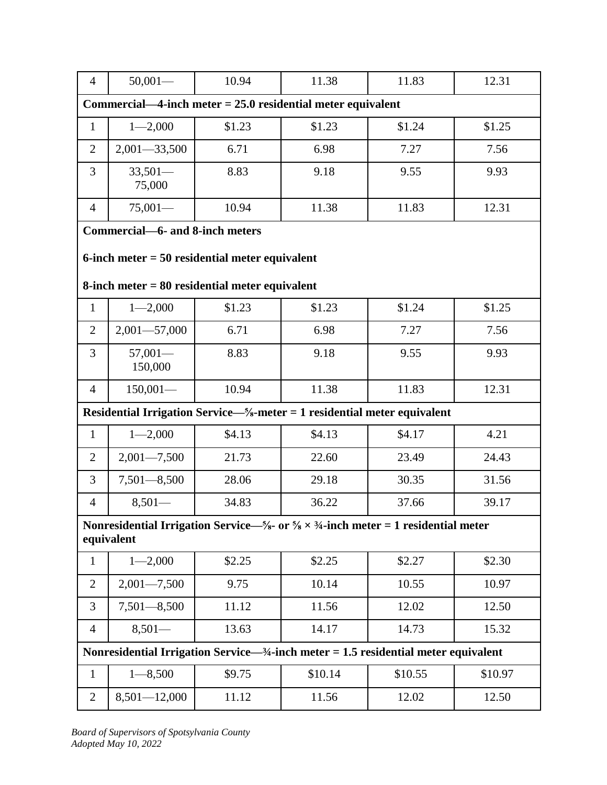| $\overline{4}$                                                | $50,001-$                                                                                                                            | 10.94  | 11.38   | 11.83   | 12.31   |  |  |
|---------------------------------------------------------------|--------------------------------------------------------------------------------------------------------------------------------------|--------|---------|---------|---------|--|--|
| Commercial—4-inch meter $= 25.0$ residential meter equivalent |                                                                                                                                      |        |         |         |         |  |  |
| $\mathbf{1}$                                                  | $1 - 2,000$                                                                                                                          | \$1.23 | \$1.23  | \$1.24  | \$1.25  |  |  |
| $\overline{2}$                                                | $2,001 - 33,500$                                                                                                                     | 6.71   | 6.98    | 7.27    | 7.56    |  |  |
| $\overline{3}$                                                | $33,501-$<br>75,000                                                                                                                  | 8.83   | 9.18    | 9.55    | 9.93    |  |  |
| 4                                                             | $75,001-$                                                                                                                            | 10.94  | 11.38   | 11.83   | 12.31   |  |  |
|                                                               | Commercial-6- and 8-inch meters                                                                                                      |        |         |         |         |  |  |
|                                                               | 6-inch meter $= 50$ residential meter equivalent                                                                                     |        |         |         |         |  |  |
|                                                               | $8$ -inch meter = $80$ residential meter equivalent                                                                                  |        |         |         |         |  |  |
| $\mathbf{1}$                                                  |                                                                                                                                      |        |         |         | \$1.25  |  |  |
|                                                               | $1 - 2,000$                                                                                                                          | \$1.23 | \$1.23  | \$1.24  |         |  |  |
| $\overline{2}$                                                | $2,001 - 57,000$                                                                                                                     | 6.71   | 6.98    | 7.27    | 7.56    |  |  |
| 3                                                             | $57,001-$<br>150,000                                                                                                                 | 8.83   | 9.18    | 9.55    | 9.93    |  |  |
| $\overline{4}$                                                | $150,001-$                                                                                                                           | 10.94  | 11.38   | 11.83   | 12.31   |  |  |
|                                                               | Residential Irrigation Service—%-meter = 1 residential meter equivalent                                                              |        |         |         |         |  |  |
| $\mathbf{1}$                                                  | $1 - 2,000$                                                                                                                          | \$4.13 | \$4.13  | \$4.17  | 4.21    |  |  |
| $\overline{2}$                                                | $2,001 - 7,500$                                                                                                                      | 21.73  | 22.60   | 23.49   | 24.43   |  |  |
| 3                                                             | $7,501 - 8,500$                                                                                                                      | 28.06  | 29.18   | 30.35   | 31.56   |  |  |
| $\overline{4}$                                                | $8,501-$                                                                                                                             | 34.83  | 36.22   | 37.66   | 39.17   |  |  |
|                                                               | Nonresidential Irrigation Service— $\frac{5}{8}$ or $\frac{5}{8} \times \frac{3}{4}$ -inch meter = 1 residential meter<br>equivalent |        |         |         |         |  |  |
|                                                               |                                                                                                                                      |        |         |         |         |  |  |
| $\mathbf{1}$                                                  | $1 - 2,000$                                                                                                                          | \$2.25 | \$2.25  | \$2.27  | \$2.30  |  |  |
| $\overline{2}$                                                | $2,001 - 7,500$                                                                                                                      | 9.75   | 10.14   | 10.55   | 10.97   |  |  |
| 3                                                             | $7,501 - 8,500$                                                                                                                      | 11.12  | 11.56   | 12.02   | 12.50   |  |  |
| $\overline{4}$                                                | $8,501-$                                                                                                                             | 13.63  | 14.17   | 14.73   | 15.32   |  |  |
|                                                               | Nonresidential Irrigation Service— $\frac{3}{4}$ -inch meter = 1.5 residential meter equivalent                                      |        |         |         |         |  |  |
| $\mathbf{1}$                                                  | $1 - 8,500$                                                                                                                          | \$9.75 | \$10.14 | \$10.55 | \$10.97 |  |  |
| $\overline{2}$                                                | $8,501 - 12,000$                                                                                                                     | 11.12  | 11.56   | 12.02   | 12.50   |  |  |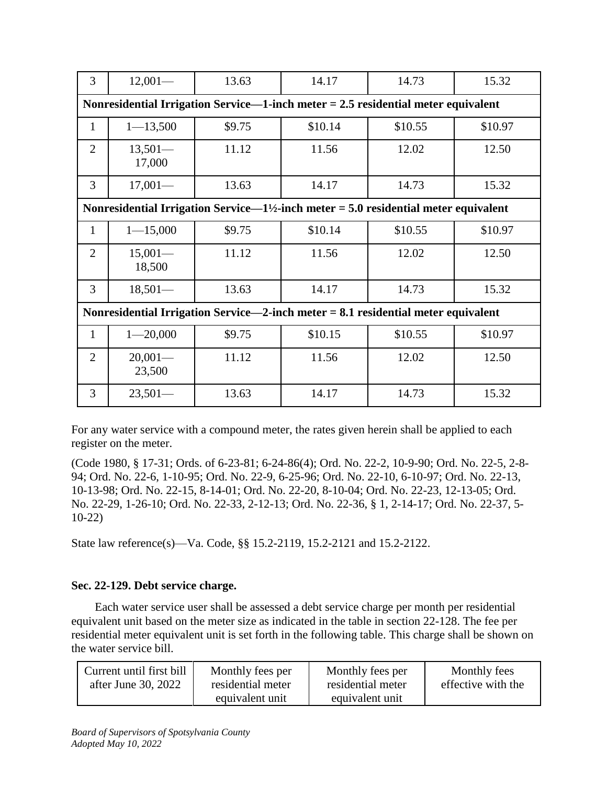| 3                                                                                   | $12,001-$           | 13.63  | 14.17                                                                                            | 14.73   | 15.32   |  |
|-------------------------------------------------------------------------------------|---------------------|--------|--------------------------------------------------------------------------------------------------|---------|---------|--|
| Nonresidential Irrigation Service—1-inch meter $= 2.5$ residential meter equivalent |                     |        |                                                                                                  |         |         |  |
| 1                                                                                   | $1 - 13,500$        | \$9.75 | \$10.14                                                                                          | \$10.55 | \$10.97 |  |
| $\overline{2}$                                                                      | $13,501-$<br>17,000 | 11.12  | 11.56                                                                                            | 12.02   | 12.50   |  |
| 3                                                                                   | $17,001-$           | 13.63  | 14.17                                                                                            | 14.73   | 15.32   |  |
|                                                                                     |                     |        | Nonresidential Irrigation Service— $1\frac{1}{2}$ -inch meter = 5.0 residential meter equivalent |         |         |  |
| $\mathbf{1}$                                                                        | $1 - 15,000$        | \$9.75 | \$10.14                                                                                          | \$10.55 | \$10.97 |  |
| $\overline{2}$                                                                      | $15,001-$<br>18,500 | 11.12  | 11.56                                                                                            | 12.02   | 12.50   |  |
| 3                                                                                   | $18,501-$           | 13.63  | 14.17                                                                                            | 14.73   | 15.32   |  |
| Nonresidential Irrigation Service—2-inch meter $= 8.1$ residential meter equivalent |                     |        |                                                                                                  |         |         |  |
| 1                                                                                   | $1 - 20,000$        | \$9.75 | \$10.15                                                                                          | \$10.55 | \$10.97 |  |
| $\overline{2}$                                                                      | $20,001-$<br>23,500 | 11.12  | 11.56                                                                                            | 12.02   | 12.50   |  |
| 3                                                                                   | $23,501-$           | 13.63  | 14.17                                                                                            | 14.73   | 15.32   |  |

For any water service with a compound meter, the rates given herein shall be applied to each register on the meter.

(Code 1980, § 17-31; Ords. of 6-23-81; 6-24-86(4); Ord. No. 22-2, 10-9-90; Ord. No. 22-5, 2-8- 94; Ord. No. 22-6, 1-10-95; Ord. No. 22-9, 6-25-96; Ord. No. 22-10, 6-10-97; Ord. No. 22-13, 10-13-98; Ord. No. 22-15, 8-14-01; Ord. No. 22-20, 8-10-04; Ord. No. 22-23, 12-13-05; Ord. No. 22-29, 1-26-10; Ord. No. 22-33, 2-12-13; Ord. No. 22-36, § 1, 2-14-17; Ord. No. 22-37, 5- 10-22)

State law reference(s)—Va. Code, §§ 15.2-2119, 15.2-2121 and 15.2-2122.

# **Sec. 22-129. Debt service charge.**

Each water service user shall be assessed a debt service charge per month per residential equivalent unit based on the meter size as indicated in the table in section 22-128. The fee per residential meter equivalent unit is set forth in the following table. This charge shall be shown on the water service bill.

| Current until first bill | Monthly fees per  | Monthly fees per  | Monthly fees       |
|--------------------------|-------------------|-------------------|--------------------|
| after June 30, 2022      | residential meter | residential meter | effective with the |
|                          | equivalent unit   | equivalent unit   |                    |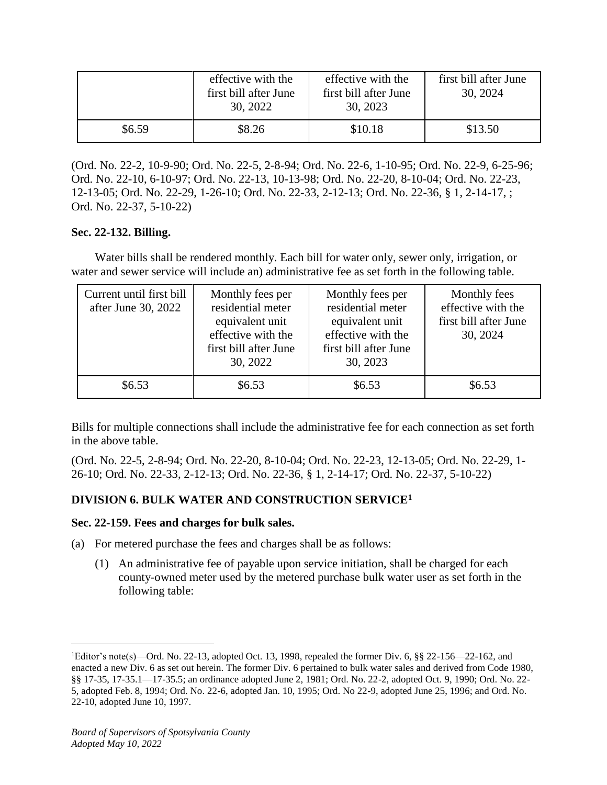|        | effective with the<br>first bill after June<br>30, 2022 | effective with the<br>first bill after June<br>30, 2023 | first bill after June<br>30, 2024 |
|--------|---------------------------------------------------------|---------------------------------------------------------|-----------------------------------|
| \$6.59 | \$8.26                                                  | \$10.18                                                 | \$13.50                           |

(Ord. No. 22-2, 10-9-90; Ord. No. 22-5, 2-8-94; Ord. No. 22-6, 1-10-95; Ord. No. 22-9, 6-25-96; Ord. No. 22-10, 6-10-97; Ord. No. 22-13, 10-13-98; Ord. No. 22-20, 8-10-04; Ord. No. 22-23, 12-13-05; Ord. No. 22-29, 1-26-10; Ord. No. 22-33, 2-12-13; Ord. No. 22-36, § 1, 2-14-17, ; Ord. No. 22-37, 5-10-22)

## **Sec. 22-132. Billing.**

Water bills shall be rendered monthly. Each bill for water only, sewer only, irrigation, or water and sewer service will include an) administrative fee as set forth in the following table.

| Current until first bill<br>after June 30, 2022 | Monthly fees per<br>residential meter<br>equivalent unit<br>effective with the<br>first bill after June<br>30, 2022 | Monthly fees per<br>residential meter<br>equivalent unit<br>effective with the<br>first bill after June<br>30, 2023 | Monthly fees<br>effective with the<br>first bill after June<br>30, 2024 |
|-------------------------------------------------|---------------------------------------------------------------------------------------------------------------------|---------------------------------------------------------------------------------------------------------------------|-------------------------------------------------------------------------|
| \$6.53                                          | \$6.53                                                                                                              | \$6.53                                                                                                              | \$6.53                                                                  |

Bills for multiple connections shall include the administrative fee for each connection as set forth in the above table.

(Ord. No. 22-5, 2-8-94; Ord. No. 22-20, 8-10-04; Ord. No. 22-23, 12-13-05; Ord. No. 22-29, 1- 26-10; Ord. No. 22-33, 2-12-13; Ord. No. 22-36, § 1, 2-14-17; Ord. No. 22-37, 5-10-22)

# **DIVISION 6. BULK WATER AND CONSTRUCTION SERVICE<sup>1</sup>**

## **Sec. 22-159. Fees and charges for bulk sales.**

- (a) For metered purchase the fees and charges shall be as follows:
	- (1) An administrative fee of payable upon service initiation, shall be charged for each county-owned meter used by the metered purchase bulk water user as set forth in the following table:

 $\overline{a}$ 

<sup>&</sup>lt;sup>1</sup>Editor's note(s)—Ord. No. 22-13, adopted Oct. 13, 1998, repealed the former Div. 6, §§ 22-156—22-162, and enacted a new Div. 6 as set out herein. The former Div. 6 pertained to bulk water sales and derived from Code 1980, §§ 17-35, 17-35.1—17-35.5; an ordinance adopted June 2, 1981; Ord. No. 22-2, adopted Oct. 9, 1990; Ord. No. 22-5, adopted Feb. 8, 1994; Ord. No. 22-6, adopted Jan. 10, 1995; Ord. No 22-9, adopted June 25, 1996; and Ord. No. 22-10, adopted June 10, 1997.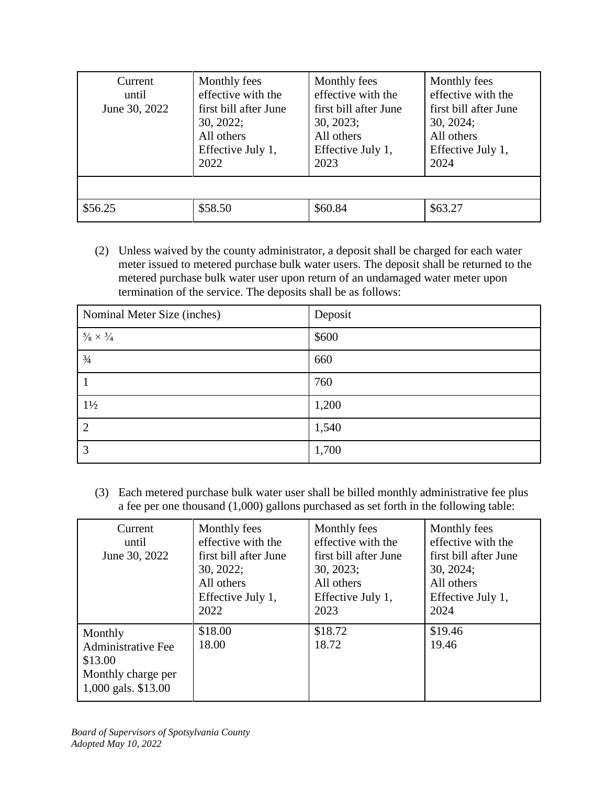| Current<br>until<br>June 30, 2022 | Monthly fees<br>effective with the<br>first bill after June<br>30, 2022;<br>All others<br>Effective July 1,<br>2022 | Monthly fees<br>effective with the<br>first bill after June<br>30, 2023;<br>All others<br>Effective July 1,<br>2023 | Monthly fees<br>effective with the<br>first bill after June<br>30, 2024;<br>All others<br>Effective July 1,<br>2024 |
|-----------------------------------|---------------------------------------------------------------------------------------------------------------------|---------------------------------------------------------------------------------------------------------------------|---------------------------------------------------------------------------------------------------------------------|
|                                   |                                                                                                                     |                                                                                                                     |                                                                                                                     |
| \$56.25                           | \$58.50                                                                                                             | \$60.84                                                                                                             | \$63.27                                                                                                             |

(2) Unless waived by the county administrator, a deposit shall be charged for each water meter issued to metered purchase bulk water users. The deposit shall be returned to the metered purchase bulk water user upon return of an undamaged water meter upon termination of the service. The deposits shall be as follows:

| Nominal Meter Size (inches) | Deposit |
|-----------------------------|---------|
| $5/8\times3/4$              | \$600   |
| $\frac{3}{4}$               | 660     |
|                             | 760     |
| $1\frac{1}{2}$              | 1,200   |
| $\overline{2}$              | 1,540   |
| 3                           | 1,700   |

(3) Each metered purchase bulk water user shall be billed monthly administrative fee plus a fee per one thousand (1,000) gallons purchased as set forth in the following table:

| Current<br>until<br>June 30, 2022                                                            | Monthly fees<br>effective with the<br>first bill after June<br>30, 2022;<br>All others<br>Effective July 1,<br>2022 | Monthly fees<br>effective with the<br>first bill after June<br>30, 2023;<br>All others<br>Effective July 1,<br>2023 | Monthly fees<br>effective with the<br>first bill after June<br>30, 2024;<br>All others<br>Effective July 1,<br>2024 |
|----------------------------------------------------------------------------------------------|---------------------------------------------------------------------------------------------------------------------|---------------------------------------------------------------------------------------------------------------------|---------------------------------------------------------------------------------------------------------------------|
| Monthly<br><b>Administrative Fee</b><br>\$13.00<br>Monthly charge per<br>1,000 gals. \$13.00 | \$18.00<br>18.00                                                                                                    | \$18.72<br>18.72                                                                                                    | \$19.46<br>19.46                                                                                                    |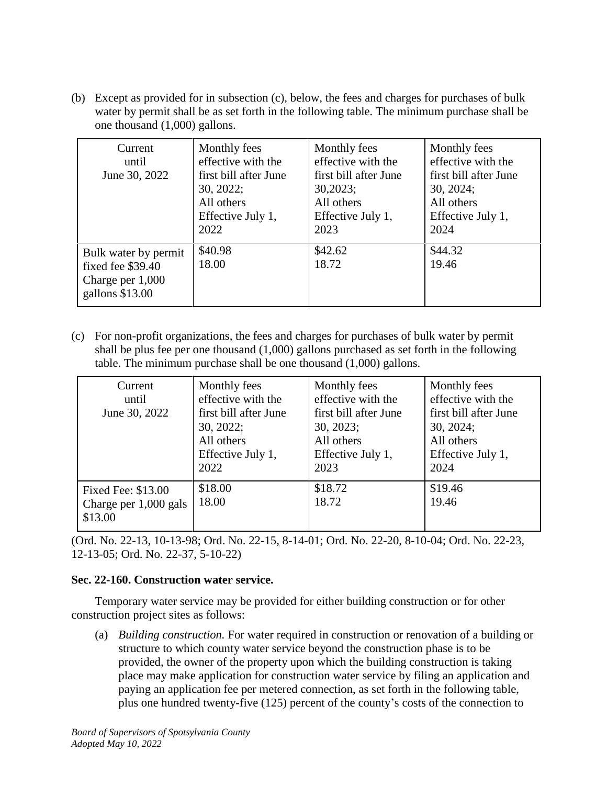(b) Except as provided for in subsection (c), below, the fees and charges for purchases of bulk water by permit shall be as set forth in the following table. The minimum purchase shall be one thousand (1,000) gallons.

| Current<br>until<br>June 30, 2022                                                   | Monthly fees<br>effective with the<br>first bill after June<br>30, 2022;<br>All others<br>Effective July 1,<br>2022 | Monthly fees<br>effective with the<br>first bill after June<br>30,2023;<br>All others<br>Effective July 1,<br>2023 | Monthly fees<br>effective with the<br>first bill after June<br>30, 2024;<br>All others<br>Effective July 1,<br>2024 |
|-------------------------------------------------------------------------------------|---------------------------------------------------------------------------------------------------------------------|--------------------------------------------------------------------------------------------------------------------|---------------------------------------------------------------------------------------------------------------------|
| Bulk water by permit<br>fixed fee \$39.40<br>Charge per $1,000$<br>gallons $$13.00$ | \$40.98<br>18.00                                                                                                    | \$42.62<br>18.72                                                                                                   | \$44.32<br>19.46                                                                                                    |

(c) For non-profit organizations, the fees and charges for purchases of bulk water by permit shall be plus fee per one thousand (1,000) gallons purchased as set forth in the following table. The minimum purchase shall be one thousand (1,000) gallons.

| Current<br>until<br>June 30, 2022                        | Monthly fees<br>effective with the<br>first bill after June<br>30, 2022;<br>All others<br>Effective July 1,<br>2022 | Monthly fees<br>effective with the<br>first bill after June<br>30, 2023;<br>All others<br>Effective July 1,<br>2023 | Monthly fees<br>effective with the<br>first bill after June<br>30, 2024;<br>All others<br>Effective July 1,<br>2024 |
|----------------------------------------------------------|---------------------------------------------------------------------------------------------------------------------|---------------------------------------------------------------------------------------------------------------------|---------------------------------------------------------------------------------------------------------------------|
| Fixed Fee: \$13.00<br>Charge per $1,000$ gals<br>\$13.00 | \$18.00<br>18.00                                                                                                    | \$18.72<br>18.72                                                                                                    | \$19.46<br>19.46                                                                                                    |

(Ord. No. 22-13, 10-13-98; Ord. No. 22-15, 8-14-01; Ord. No. 22-20, 8-10-04; Ord. No. 22-23, 12-13-05; Ord. No. 22-37, 5-10-22)

## **Sec. 22-160. Construction water service.**

Temporary water service may be provided for either building construction or for other construction project sites as follows:

(a) *Building construction.* For water required in construction or renovation of a building or structure to which county water service beyond the construction phase is to be provided, the owner of the property upon which the building construction is taking place may make application for construction water service by filing an application and paying an application fee per metered connection, as set forth in the following table, plus one hundred twenty-five (125) percent of the county's costs of the connection to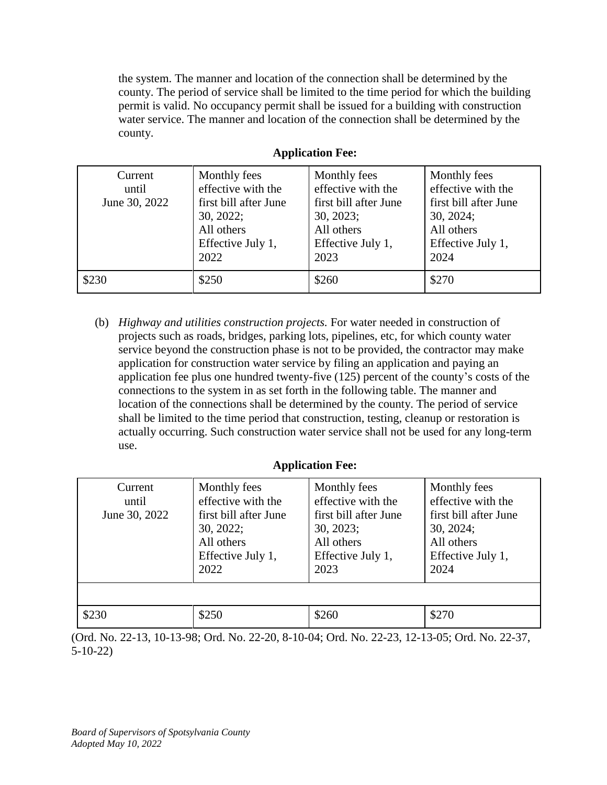the system. The manner and location of the connection shall be determined by the county. The period of service shall be limited to the time period for which the building permit is valid. No occupancy permit shall be issued for a building with construction water service. The manner and location of the connection shall be determined by the county.

| Current<br>until<br>June 30, 2022 | Monthly fees<br>effective with the<br>first bill after June<br>30, 2022;<br>All others<br>Effective July 1,<br>2022 | Monthly fees<br>effective with the<br>first bill after June<br>30, 2023;<br>All others<br>Effective July 1,<br>2023 | Monthly fees<br>effective with the<br>first bill after June<br>30, 2024;<br>All others<br>Effective July 1,<br>2024 |
|-----------------------------------|---------------------------------------------------------------------------------------------------------------------|---------------------------------------------------------------------------------------------------------------------|---------------------------------------------------------------------------------------------------------------------|
| \$230                             | \$250                                                                                                               | \$260                                                                                                               | \$270                                                                                                               |

## **Application Fee:**

(b) *Highway and utilities construction projects.* For water needed in construction of projects such as roads, bridges, parking lots, pipelines, etc, for which county water service beyond the construction phase is not to be provided, the contractor may make application for construction water service by filing an application and paying an application fee plus one hundred twenty-five (125) percent of the county's costs of the connections to the system in as set forth in the following table. The manner and location of the connections shall be determined by the county. The period of service shall be limited to the time period that construction, testing, cleanup or restoration is actually occurring. Such construction water service shall not be used for any long-term use.

# **Application Fee:**

| Current<br>until<br>June 30, 2022 | Monthly fees<br>effective with the<br>first bill after June<br>30, 2022;<br>All others<br>Effective July 1,<br>2022 | Monthly fees<br>effective with the<br>first bill after June<br>30, 2023;<br>All others<br>Effective July 1,<br>2023 | Monthly fees<br>effective with the<br>first bill after June<br>30, 2024;<br>All others<br>Effective July 1,<br>2024 |
|-----------------------------------|---------------------------------------------------------------------------------------------------------------------|---------------------------------------------------------------------------------------------------------------------|---------------------------------------------------------------------------------------------------------------------|
|                                   |                                                                                                                     |                                                                                                                     |                                                                                                                     |
| \$230                             | \$250                                                                                                               | \$260                                                                                                               | \$270                                                                                                               |

(Ord. No. 22-13, 10-13-98; Ord. No. 22-20, 8-10-04; Ord. No. 22-23, 12-13-05; Ord. No. 22-37, 5-10-22)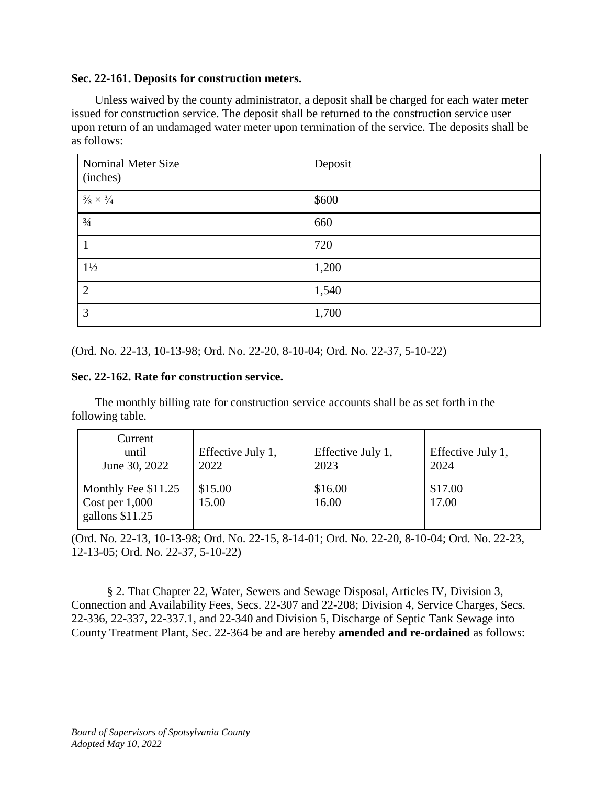#### **Sec. 22-161. Deposits for construction meters.**

Unless waived by the county administrator, a deposit shall be charged for each water meter issued for construction service. The deposit shall be returned to the construction service user upon return of an undamaged water meter upon termination of the service. The deposits shall be as follows:

| <b>Nominal Meter Size</b><br>(inches) | Deposit |
|---------------------------------------|---------|
| $5/8\times3/4$                        | \$600   |
| $\frac{3}{4}$                         | 660     |
|                                       | 720     |
| $1\frac{1}{2}$                        | 1,200   |
| $\overline{2}$                        | 1,540   |
| 3                                     | 1,700   |

(Ord. No. 22-13, 10-13-98; Ord. No. 22-20, 8-10-04; Ord. No. 22-37, 5-10-22)

## **Sec. 22-162. Rate for construction service.**

The monthly billing rate for construction service accounts shall be as set forth in the following table.

| Current<br>until<br>June 30, 2022                         | Effective July 1,<br>2022 | Effective July 1,<br>2023 | Effective July 1,<br>2024 |
|-----------------------------------------------------------|---------------------------|---------------------------|---------------------------|
| Monthly Fee \$11.25<br>Cost per 1,000<br>gallons $$11.25$ | \$15.00<br>15.00          | \$16.00<br>16.00          | \$17.00<br>17.00          |

(Ord. No. 22-13, 10-13-98; Ord. No. 22-15, 8-14-01; Ord. No. 22-20, 8-10-04; Ord. No. 22-23, 12-13-05; Ord. No. 22-37, 5-10-22)

§ 2. That Chapter 22, Water, Sewers and Sewage Disposal, Articles IV, Division 3, Connection and Availability Fees, Secs. 22-307 and 22-208; Division 4, Service Charges, Secs. 22-336, 22-337, 22-337.1, and 22-340 and Division 5, Discharge of Septic Tank Sewage into County Treatment Plant, Sec. 22-364 be and are hereby **amended and re-ordained** as follows: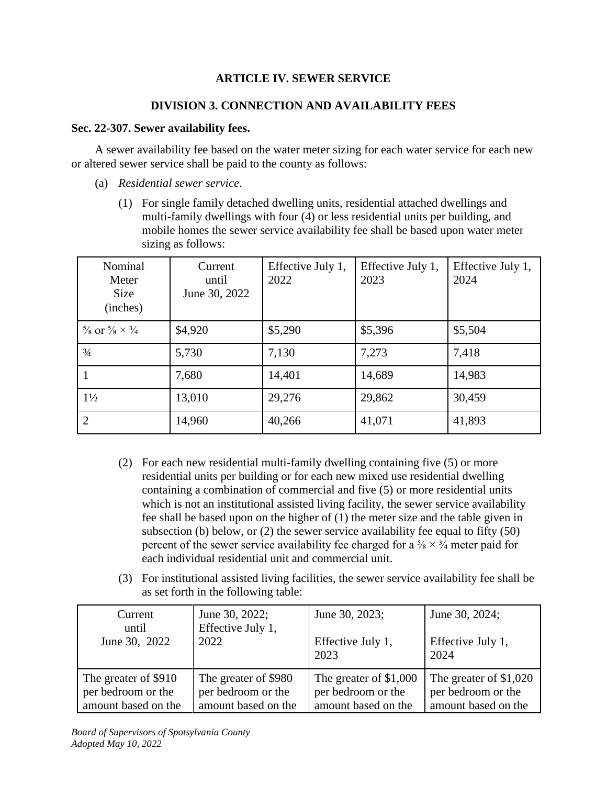# **ARTICLE IV. SEWER SERVICE**

# **DIVISION 3. CONNECTION AND AVAILABILITY FEES**

## **Sec. 22-307. Sewer availability fees.**

A sewer availability fee based on the water meter sizing for each water service for each new or altered sewer service shall be paid to the county as follows:

- (a) *Residential sewer service.*
	- (1) For single family detached dwelling units, residential attached dwellings and multi-family dwellings with four (4) or less residential units per building, and mobile homes the sewer service availability fee shall be based upon water meter sizing as follows:

| Nominal<br>Meter<br><b>Size</b><br>(inches)       | Current<br>until<br>June 30, 2022 | Effective July 1,<br>2022 | Effective July 1,<br>2023 | Effective July 1,<br>2024 |
|---------------------------------------------------|-----------------------------------|---------------------------|---------------------------|---------------------------|
| $\frac{5}{8}$ or $\frac{5}{8} \times \frac{3}{4}$ | \$4,920                           | \$5,290                   | \$5,396                   | \$5,504                   |
| $\frac{3}{4}$                                     | 5,730                             | 7,130                     | 7,273                     | 7,418                     |
|                                                   | 7,680                             | 14,401                    | 14,689                    | 14,983                    |
| $1\frac{1}{2}$                                    | 13,010                            | 29,276                    | 29,862                    | 30,459                    |
| 2                                                 | 14,960                            | 40,266                    | 41,071                    | 41,893                    |

- (2) For each new residential multi-family dwelling containing five (5) or more residential units per building or for each new mixed use residential dwelling containing a combination of commercial and five (5) or more residential units which is not an institutional assisted living facility, the sewer service availability fee shall be based upon on the higher of (1) the meter size and the table given in subsection (b) below, or (2) the sewer service availability fee equal to fifty (50) percent of the sewer service availability fee charged for a  $\frac{5}{8} \times \frac{3}{4}$  meter paid for each individual residential unit and commercial unit.
- (3) For institutional assisted living facilities, the sewer service availability fee shall be as set forth in the following table:

| Current              | June 30, 2022;       | June 30, 2023;         | June 30, 2024;          |
|----------------------|----------------------|------------------------|-------------------------|
| until                | Effective July 1,    | Effective July 1,      | Effective July 1,       |
| June 30, 2022        | 2022                 | 2023                   | 2024                    |
| The greater of \$910 | The greater of \$980 | The greater of \$1,000 | The greater of $$1,020$ |
| per bedroom or the   | per bedroom or the   | per bedroom or the     | per bedroom or the      |
| amount based on the  | amount based on the  | amount based on the    | amount based on the     |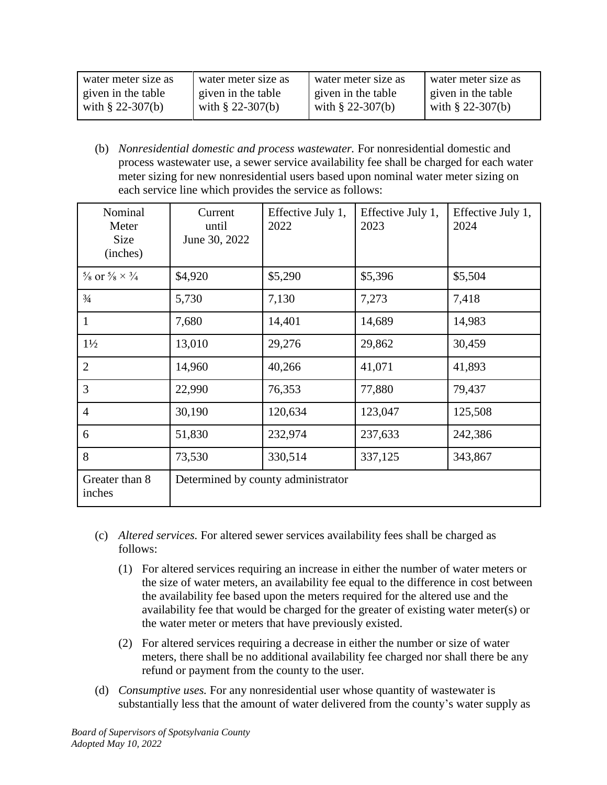| water meter size as | water meter size as | water meter size as | water meter size as |
|---------------------|---------------------|---------------------|---------------------|
| given in the table  | given in the table  | given in the table  | given in the table  |
| with $\S$ 22-307(b) | with $\S$ 22-307(b) | with $\S$ 22-307(b) | with $\S$ 22-307(b) |

(b) *Nonresidential domestic and process wastewater.* For nonresidential domestic and process wastewater use, a sewer service availability fee shall be charged for each water meter sizing for new nonresidential users based upon nominal water meter sizing on each service line which provides the service as follows:

| Nominal<br>Meter<br><b>Size</b><br>(inches)       | Current<br>until<br>June 30, 2022  | Effective July 1,<br>2022 | Effective July 1,<br>2023 | Effective July 1,<br>2024 |
|---------------------------------------------------|------------------------------------|---------------------------|---------------------------|---------------------------|
| $\frac{5}{8}$ or $\frac{5}{8} \times \frac{3}{4}$ | \$4,920                            | \$5,290                   | \$5,396                   | \$5,504                   |
| $\frac{3}{4}$                                     | 5,730                              | 7,130                     | 7,273                     | 7,418                     |
| $\mathbf{1}$                                      | 7,680                              | 14,401                    | 14,689                    | 14,983                    |
| $1\frac{1}{2}$                                    | 13,010                             | 29,276                    | 29,862                    | 30,459                    |
| $\overline{2}$                                    | 14,960                             | 40,266                    | 41,071                    | 41,893                    |
| 3                                                 | 22,990                             | 76,353                    | 77,880                    | 79,437                    |
| $\overline{4}$                                    | 30,190                             | 120,634                   | 123,047                   | 125,508                   |
| 6                                                 | 51,830                             | 232,974                   | 237,633                   | 242,386                   |
| 8                                                 | 73,530                             | 330,514                   | 337,125                   | 343,867                   |
| Greater than 8<br>inches                          | Determined by county administrator |                           |                           |                           |

- (c) *Altered services.* For altered sewer services availability fees shall be charged as follows:
	- (1) For altered services requiring an increase in either the number of water meters or the size of water meters, an availability fee equal to the difference in cost between the availability fee based upon the meters required for the altered use and the availability fee that would be charged for the greater of existing water meter(s) or the water meter or meters that have previously existed.
	- (2) For altered services requiring a decrease in either the number or size of water meters, there shall be no additional availability fee charged nor shall there be any refund or payment from the county to the user.
- (d) *Consumptive uses.* For any nonresidential user whose quantity of wastewater is substantially less that the amount of water delivered from the county's water supply as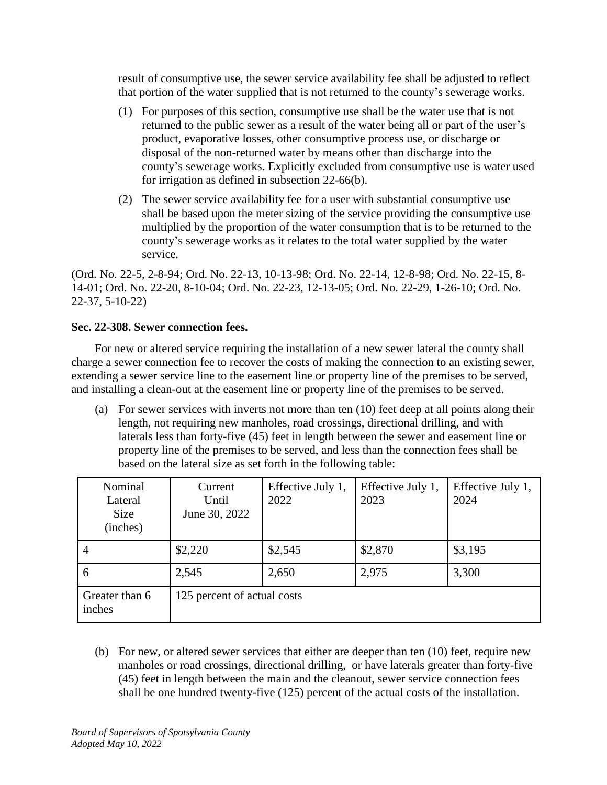result of consumptive use, the sewer service availability fee shall be adjusted to reflect that portion of the water supplied that is not returned to the county's sewerage works.

- (1) For purposes of this section, consumptive use shall be the water use that is not returned to the public sewer as a result of the water being all or part of the user's product, evaporative losses, other consumptive process use, or discharge or disposal of the non-returned water by means other than discharge into the county's sewerage works. Explicitly excluded from consumptive use is water used for irrigation as defined in subsection 22-66(b).
- (2) The sewer service availability fee for a user with substantial consumptive use shall be based upon the meter sizing of the service providing the consumptive use multiplied by the proportion of the water consumption that is to be returned to the county's sewerage works as it relates to the total water supplied by the water service.

(Ord. No. 22-5, 2-8-94; Ord. No. 22-13, 10-13-98; Ord. No. 22-14, 12-8-98; Ord. No. 22-15, 8- 14-01; Ord. No. 22-20, 8-10-04; Ord. No. 22-23, 12-13-05; Ord. No. 22-29, 1-26-10; Ord. No. 22-37, 5-10-22)

# **Sec. 22-308. Sewer connection fees.**

For new or altered service requiring the installation of a new sewer lateral the county shall charge a sewer connection fee to recover the costs of making the connection to an existing sewer, extending a sewer service line to the easement line or property line of the premises to be served, and installing a clean-out at the easement line or property line of the premises to be served.

(a) For sewer services with inverts not more than ten (10) feet deep at all points along their length, not requiring new manholes, road crossings, directional drilling, and with laterals less than forty-five (45) feet in length between the sewer and easement line or property line of the premises to be served, and less than the connection fees shall be based on the lateral size as set forth in the following table:

| Nominal<br>Lateral<br><b>Size</b><br>(inches) | Current<br>Until<br>June 30, 2022 | Effective July 1,<br>2022 | Effective July 1,<br>2023 | Effective July 1,<br>2024 |
|-----------------------------------------------|-----------------------------------|---------------------------|---------------------------|---------------------------|
| 4                                             | \$2,220                           | \$2,545                   | \$2,870                   | \$3,195                   |
| 6                                             | 2,545                             | 2,650                     | 2,975                     | 3,300                     |
| Greater than 6<br>inches                      | 125 percent of actual costs       |                           |                           |                           |

(b) For new, or altered sewer services that either are deeper than ten (10) feet, require new manholes or road crossings, directional drilling, or have laterals greater than forty-five (45) feet in length between the main and the cleanout, sewer service connection fees shall be one hundred twenty-five (125) percent of the actual costs of the installation.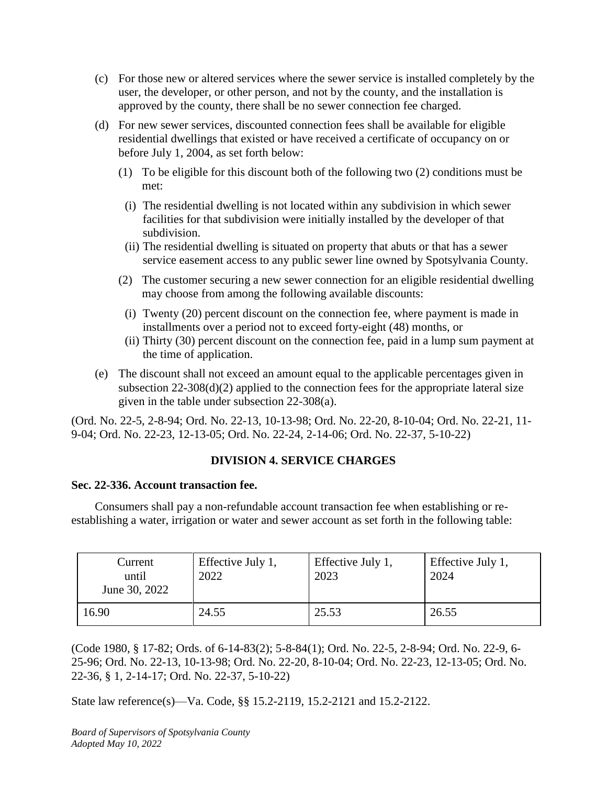- (c) For those new or altered services where the sewer service is installed completely by the user, the developer, or other person, and not by the county, and the installation is approved by the county, there shall be no sewer connection fee charged.
- (d) For new sewer services, discounted connection fees shall be available for eligible residential dwellings that existed or have received a certificate of occupancy on or before July 1, 2004, as set forth below:
	- (1) To be eligible for this discount both of the following two (2) conditions must be met:
		- (i) The residential dwelling is not located within any subdivision in which sewer facilities for that subdivision were initially installed by the developer of that subdivision.
		- (ii) The residential dwelling is situated on property that abuts or that has a sewer service easement access to any public sewer line owned by Spotsylvania County.
	- (2) The customer securing a new sewer connection for an eligible residential dwelling may choose from among the following available discounts:
		- (i) Twenty (20) percent discount on the connection fee, where payment is made in installments over a period not to exceed forty-eight (48) months, or
	- (ii) Thirty (30) percent discount on the connection fee, paid in a lump sum payment at the time of application.
- (e) The discount shall not exceed an amount equal to the applicable percentages given in subsection 22-308(d)(2) applied to the connection fees for the appropriate lateral size given in the table under subsection 22-308(a).

(Ord. No. 22-5, 2-8-94; Ord. No. 22-13, 10-13-98; Ord. No. 22-20, 8-10-04; Ord. No. 22-21, 11- 9-04; Ord. No. 22-23, 12-13-05; Ord. No. 22-24, 2-14-06; Ord. No. 22-37, 5-10-22)

# **DIVISION 4. SERVICE CHARGES**

# **Sec. 22-336. Account transaction fee.**

Consumers shall pay a non-refundable account transaction fee when establishing or reestablishing a water, irrigation or water and sewer account as set forth in the following table:

| Current<br>until<br>June 30, 2022 | Effective July 1,<br>2022 | Effective July 1,<br>2023 | Effective July 1,<br>2024 |
|-----------------------------------|---------------------------|---------------------------|---------------------------|
| 16.90                             | 24.55                     | 25.53                     | 26.55                     |

(Code 1980, § 17-82; Ords. of 6-14-83(2); 5-8-84(1); Ord. No. 22-5, 2-8-94; Ord. No. 22-9, 6- 25-96; Ord. No. 22-13, 10-13-98; Ord. No. 22-20, 8-10-04; Ord. No. 22-23, 12-13-05; Ord. No. 22-36, § 1, 2-14-17; Ord. No. 22-37, 5-10-22)

State law reference(s)—Va. Code, §§ 15.2-2119, 15.2-2121 and 15.2-2122.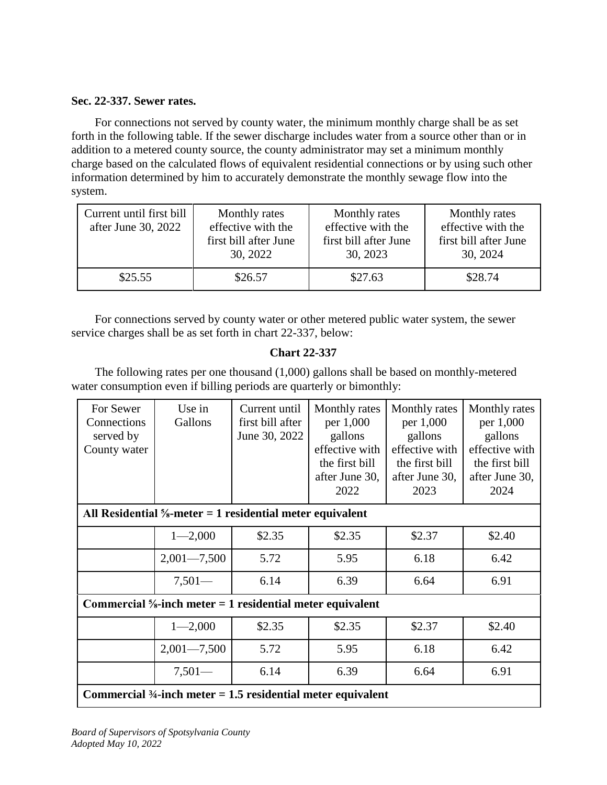## **Sec. 22-337. Sewer rates.**

For connections not served by county water, the minimum monthly charge shall be as set forth in the following table. If the sewer discharge includes water from a source other than or in addition to a metered county source, the county administrator may set a minimum monthly charge based on the calculated flows of equivalent residential connections or by using such other information determined by him to accurately demonstrate the monthly sewage flow into the system.

| Current until first bill<br>after June 30, 2022 | Monthly rates<br>effective with the<br>first bill after June<br>30, 2022 | Monthly rates<br>effective with the<br>first bill after June<br>30, 2023 | Monthly rates<br>effective with the<br>first bill after June<br>30, 2024 |
|-------------------------------------------------|--------------------------------------------------------------------------|--------------------------------------------------------------------------|--------------------------------------------------------------------------|
| \$25.55                                         | \$26.57                                                                  | \$27.63                                                                  | \$28.74                                                                  |

For connections served by county water or other metered public water system, the sewer service charges shall be as set forth in chart 22-337, below:

# **Chart 22-337**

The following rates per one thousand (1,000) gallons shall be based on monthly-metered water consumption even if billing periods are quarterly or bimonthly:

| For Sewer<br>Connections<br>served by<br>County water                 | Use in<br>Gallons                                                       | Current until<br>first bill after<br>June 30, 2022 | Monthly rates<br>per 1,000<br>gallons<br>effective with<br>the first bill<br>after June 30,<br>2022 | Monthly rates<br>per 1,000<br>gallons<br>effective with<br>the first bill<br>after June 30,<br>2023 | Monthly rates<br>per 1,000<br>gallons<br>effective with<br>the first bill<br>after June 30,<br>2024 |
|-----------------------------------------------------------------------|-------------------------------------------------------------------------|----------------------------------------------------|-----------------------------------------------------------------------------------------------------|-----------------------------------------------------------------------------------------------------|-----------------------------------------------------------------------------------------------------|
| All Residential $\frac{5}{8}$ -meter = 1 residential meter equivalent |                                                                         |                                                    |                                                                                                     |                                                                                                     |                                                                                                     |
|                                                                       | $1 - 2,000$                                                             | \$2.35                                             | \$2.35                                                                                              | \$2.37                                                                                              | \$2.40                                                                                              |
|                                                                       | $2,001 - 7,500$                                                         | 5.72                                               | 5.95                                                                                                | 6.18                                                                                                | 6.42                                                                                                |
|                                                                       | $7,501-$                                                                | 6.14                                               | 6.39                                                                                                | 6.64                                                                                                | 6.91                                                                                                |
|                                                                       | Commercial $\frac{5}{8}$ -inch meter = 1 residential meter equivalent   |                                                    |                                                                                                     |                                                                                                     |                                                                                                     |
|                                                                       | $1 - 2,000$                                                             | \$2.35                                             | \$2.35                                                                                              | \$2.37                                                                                              | \$2.40                                                                                              |
|                                                                       | $2,001 - 7,500$                                                         | 5.72                                               | 5.95                                                                                                | 6.18                                                                                                | 6.42                                                                                                |
|                                                                       | $7,501-$                                                                | 6.14                                               | 6.39                                                                                                | 6.64                                                                                                | 6.91                                                                                                |
|                                                                       | Commercial $\frac{3}{4}$ -inch meter = 1.5 residential meter equivalent |                                                    |                                                                                                     |                                                                                                     |                                                                                                     |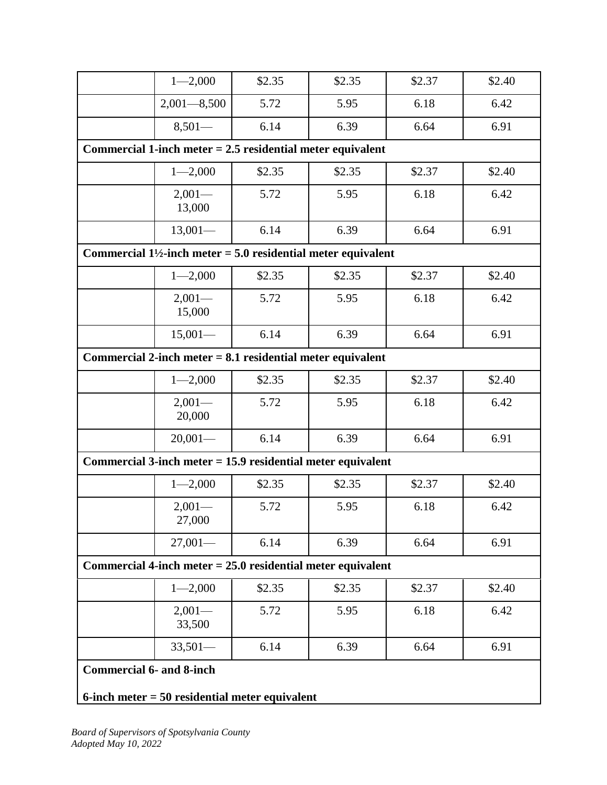|                                                               | $1 - 2,000$                                                                          | \$2.35 | \$2.35 | \$2.37 | \$2.40 |
|---------------------------------------------------------------|--------------------------------------------------------------------------------------|--------|--------|--------|--------|
|                                                               | $2,001 - 8,500$                                                                      | 5.72   | 5.95   | 6.18   | 6.42   |
|                                                               | $8,501-$                                                                             | 6.14   | 6.39   | 6.64   | 6.91   |
|                                                               | Commercial 1-inch meter $= 2.5$ residential meter equivalent                         |        |        |        |        |
|                                                               | $1 - 2,000$                                                                          | \$2.35 | \$2.35 | \$2.37 | \$2.40 |
|                                                               | $2,001-$<br>13,000                                                                   | 5.72   | 5.95   | 6.18   | 6.42   |
|                                                               | $13,001-$                                                                            | 6.14   | 6.39   | 6.64   | 6.91   |
|                                                               | Commercial $1\frac{1}{2}$ -inch meter = 5.0 residential meter equivalent             |        |        |        |        |
|                                                               | $1 - 2,000$                                                                          | \$2.35 | \$2.35 | \$2.37 | \$2.40 |
|                                                               | $2,001-$<br>15,000                                                                   | 5.72   | 5.95   | 6.18   | 6.42   |
|                                                               | $15,001-$                                                                            | 6.14   | 6.39   | 6.64   | 6.91   |
| Commercial 2-inch meter $= 8.1$ residential meter equivalent  |                                                                                      |        |        |        |        |
|                                                               | $1 - 2,000$                                                                          | \$2.35 | \$2.35 | \$2.37 | \$2.40 |
|                                                               | $2,001-$<br>20,000                                                                   | 5.72   | 5.95   | 6.18   | 6.42   |
|                                                               | $20,001-$                                                                            | 6.14   | 6.39   | 6.64   | 6.91   |
|                                                               | Commercial 3-inch meter $= 15.9$ residential meter equivalent                        |        |        |        |        |
|                                                               | $1 - 2,000$                                                                          | \$2.35 | \$2.35 | \$2.37 | \$2.40 |
|                                                               | $2,001-$<br>27,000                                                                   | 5.72   | 5.95   | 6.18   | 6.42   |
|                                                               | $27,001-$                                                                            | 6.14   | 6.39   | 6.64   | 6.91   |
| Commercial 4-inch meter $= 25.0$ residential meter equivalent |                                                                                      |        |        |        |        |
|                                                               | $1 - 2,000$                                                                          | \$2.35 | \$2.35 | \$2.37 | \$2.40 |
|                                                               | $2,001-$<br>33,500                                                                   | 5.72   | 5.95   | 6.18   | 6.42   |
|                                                               | $33,501-$                                                                            | 6.14   | 6.39   | 6.64   | 6.91   |
|                                                               | <b>Commercial 6- and 8-inch</b><br>$6$ -inch meter = 50 residential meter equivalent |        |        |        |        |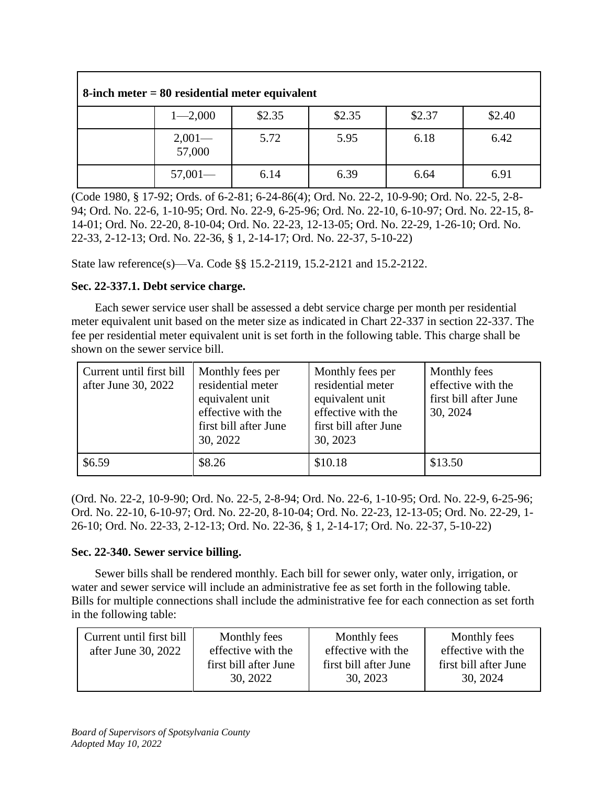| $8$ -inch meter = $80$ residential meter equivalent |        |        |        |        |  |
|-----------------------------------------------------|--------|--------|--------|--------|--|
| $1 - 2,000$                                         | \$2.35 | \$2.35 | \$2.37 | \$2.40 |  |
| $2,001 -$<br>57,000                                 | 5.72   | 5.95   | 6.18   | 6.42   |  |
| $57,001-$                                           | 6.14   | 6.39   | 6.64   | 6.91   |  |

(Code 1980, § 17-92; Ords. of 6-2-81; 6-24-86(4); Ord. No. 22-2, 10-9-90; Ord. No. 22-5, 2-8- 94; Ord. No. 22-6, 1-10-95; Ord. No. 22-9, 6-25-96; Ord. No. 22-10, 6-10-97; Ord. No. 22-15, 8- 14-01; Ord. No. 22-20, 8-10-04; Ord. No. 22-23, 12-13-05; Ord. No. 22-29, 1-26-10; Ord. No. 22-33, 2-12-13; Ord. No. 22-36, § 1, 2-14-17; Ord. No. 22-37, 5-10-22)

State law reference(s)—Va. Code §§ 15.2-2119, 15.2-2121 and 15.2-2122.

# **Sec. 22-337.1. Debt service charge.**

Each sewer service user shall be assessed a debt service charge per month per residential meter equivalent unit based on the meter size as indicated in Chart 22-337 in section 22-337. The fee per residential meter equivalent unit is set forth in the following table. This charge shall be shown on the sewer service bill.

| Current until first bill<br>after June 30, 2022 | Monthly fees per<br>residential meter<br>equivalent unit<br>effective with the<br>first bill after June<br>30, 2022 | Monthly fees per<br>residential meter<br>equivalent unit<br>effective with the<br>first bill after June<br>30, 2023 | Monthly fees<br>effective with the<br>first bill after June<br>30, 2024 |
|-------------------------------------------------|---------------------------------------------------------------------------------------------------------------------|---------------------------------------------------------------------------------------------------------------------|-------------------------------------------------------------------------|
| \$6.59                                          | \$8.26                                                                                                              | \$10.18                                                                                                             | \$13.50                                                                 |

(Ord. No. 22-2, 10-9-90; Ord. No. 22-5, 2-8-94; Ord. No. 22-6, 1-10-95; Ord. No. 22-9, 6-25-96; Ord. No. 22-10, 6-10-97; Ord. No. 22-20, 8-10-04; Ord. No. 22-23, 12-13-05; Ord. No. 22-29, 1- 26-10; Ord. No. 22-33, 2-12-13; Ord. No. 22-36, § 1, 2-14-17; Ord. No. 22-37, 5-10-22)

# **Sec. 22-340. Sewer service billing.**

Sewer bills shall be rendered monthly. Each bill for sewer only, water only, irrigation, or water and sewer service will include an administrative fee as set forth in the following table. Bills for multiple connections shall include the administrative fee for each connection as set forth in the following table:

| Current until first bill | Monthly fees          | Monthly fees          | Monthly fees          |
|--------------------------|-----------------------|-----------------------|-----------------------|
| after June 30, 2022      | effective with the    | effective with the    | effective with the    |
|                          | first bill after June | first bill after June | first bill after June |
|                          | 30, 2022              | 30, 2023              | 30, 2024              |